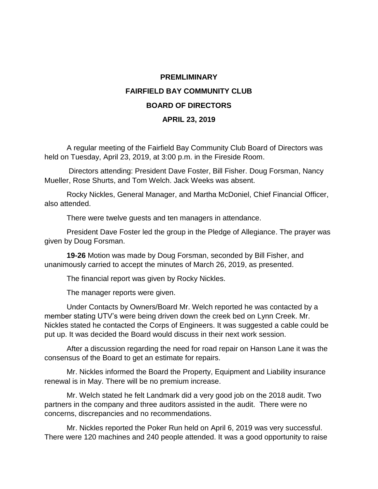## **PREMLIMINARY FAIRFIELD BAY COMMUNITY CLUB BOARD OF DIRECTORS APRIL 23, 2019**

A regular meeting of the Fairfield Bay Community Club Board of Directors was held on Tuesday, April 23, 2019, at 3:00 p.m. in the Fireside Room.

Directors attending: President Dave Foster, Bill Fisher. Doug Forsman, Nancy Mueller, Rose Shurts, and Tom Welch. Jack Weeks was absent.

Rocky Nickles, General Manager, and Martha McDoniel, Chief Financial Officer, also attended.

There were twelve guests and ten managers in attendance.

President Dave Foster led the group in the Pledge of Allegiance. The prayer was given by Doug Forsman.

**19-26** Motion was made by Doug Forsman, seconded by Bill Fisher, and unanimously carried to accept the minutes of March 26, 2019, as presented.

The financial report was given by Rocky Nickles.

The manager reports were given.

Under Contacts by Owners/Board Mr. Welch reported he was contacted by a member stating UTV's were being driven down the creek bed on Lynn Creek. Mr. Nickles stated he contacted the Corps of Engineers. It was suggested a cable could be put up. It was decided the Board would discuss in their next work session.

After a discussion regarding the need for road repair on Hanson Lane it was the consensus of the Board to get an estimate for repairs.

Mr. Nickles informed the Board the Property, Equipment and Liability insurance renewal is in May. There will be no premium increase.

Mr. Welch stated he felt Landmark did a very good job on the 2018 audit. Two partners in the company and three auditors assisted in the audit. There were no concerns, discrepancies and no recommendations.

Mr. Nickles reported the Poker Run held on April 6, 2019 was very successful. There were 120 machines and 240 people attended. It was a good opportunity to raise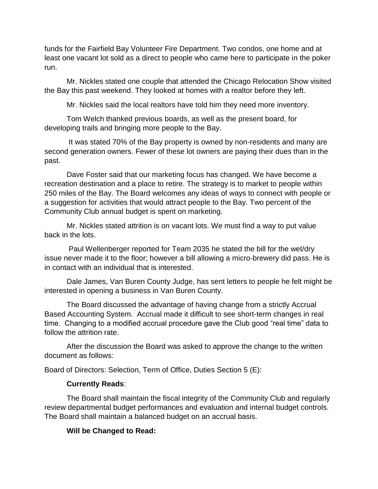funds for the Fairfield Bay Volunteer Fire Department. Two condos, one home and at least one vacant lot sold as a direct to people who came here to participate in the poker run.

Mr. Nickles stated one couple that attended the Chicago Relocation Show visited the Bay this past weekend. They looked at homes with a realtor before they left.

Mr. Nickles said the local realtors have told him they need more inventory.

Tom Welch thanked previous boards, as well as the present board, for developing trails and bringing more people to the Bay.

It was stated 70% of the Bay property is owned by non-residents and many are second generation owners. Fewer of these lot owners are paying their dues than in the past.

Dave Foster said that our marketing focus has changed. We have become a recreation destination and a place to retire. The strategy is to market to people within 250 miles of the Bay. The Board welcomes any ideas of ways to connect with people or a suggestion for activities that would attract people to the Bay. Two percent of the Community Club annual budget is spent on marketing.

Mr. Nickles stated attrition is on vacant lots. We must find a way to put value back in the lots.

Paul Wellenberger reported for Team 2035 he stated the bill for the wet/dry issue never made it to the floor; however a bill allowing a micro-brewery did pass. He is in contact with an individual that is interested.

Dale James, Van Buren County Judge, has sent letters to people he felt might be interested in opening a business in Van Buren County.

The Board discussed the advantage of having change from a strictly Accrual Based Accounting System. Accrual made it difficult to see short-term changes in real time. Changing to a modified accrual procedure gave the Club good "real time" data to follow the attrition rate.

After the discussion the Board was asked to approve the change to the written document as follows:

Board of Directors: Selection, Term of Office, Duties Section 5 (E):

## **Currently Reads**:

The Board shall maintain the fiscal integrity of the Community Club and regularly review departmental budget performances and evaluation and internal budget controls. The Board shall maintain a balanced budget on an accrual basis.

## **Will be Changed to Read:**